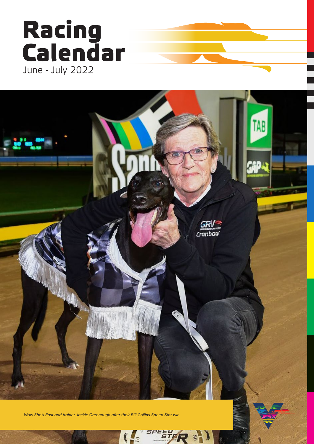# Racing<br>Calendar June - July 2022



*Wow She's Fast and trainer Jackie Greenough after their Bill Collins Speed Star win.*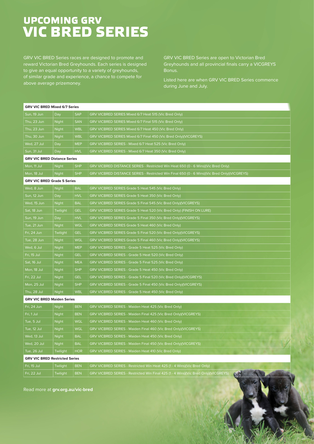### **UPCOMING GRV VIC BRED SERIES**

GRV VIC BRED Series races are designed to promote and reward Victorian Bred Greyhounds. Each series is designed above average prizemoney.

GRV VIC BRED Series are open to Victorian Bred Greyhounds and all provincial finals carry a VICGREYS

Listed here are when GRV VIC BRED Series commence during June and July.

| <b>GRV VIC BRED Mixed 6/7 Series</b>  |                 |            |                                                                                              |
|---------------------------------------|-----------------|------------|----------------------------------------------------------------------------------------------|
| Sun, 19 Jun                           | Day             | <b>SAP</b> | GRV VICBRED SERIES Mixed 6/7 Heat 515 (Vic Bred Only)                                        |
| Thu, 23 Jun                           | Night           | <b>SAN</b> | GRV VICBRED SERIES Mixed 6/7 Final 515 (Vic Bred Only)                                       |
| Thu, 23 Jun                           | Night           | <b>WBL</b> | GRV VICBRED SERIES Mixed 6/7 Heat 450 (Vic Bred Only)                                        |
| Thu, 30 Jun                           | <b>Night</b>    | <b>WBL</b> | GRV VICBRED SERIES Mixed 6/7 Final 450 (Vic Bred Only)(VICGREYS)                             |
| Wed, 27 Jul                           | Day             | <b>MEP</b> | GRV VICBRED SERIES - Mixed 6/7 Heat 525 (Vic Bred Only)                                      |
| Sun, 31 Jul                           | Day             | <b>HVL</b> | GRV VICBRED SERIES - Mixed 6/7 Heat 350 (Vic Bred Only)                                      |
| <b>GRV VIC BRED Distance Series</b>   |                 |            |                                                                                              |
| Mon, 11 Jul                           | Night           | <b>SHP</b> | GRV VICBRED DISTANCE SERIES - Restricted Win Heat 650 (0 - 6 Wins)(Vic Bred Only)            |
| Mon, 18 Jul                           | Night           | <b>SHP</b> | GRV VICBRED DISTANCE SERIES - Restricted Win Final 650 (0 - 6 Wins)(Vic Bred Only)(VICGREYS) |
| <b>GRV VIC BRED Grade 5 Series</b>    |                 |            |                                                                                              |
| Wed, 8 Jun                            | Night           | <b>BAL</b> | GRV VICBRED SERIES Grade 5 Heat 545 (Vic Bred Only)                                          |
| Sun, 12 Jun                           | Day             | <b>HVL</b> | GRV VICBRED SERIES Grade 5 Heat 350 (Vic Bred Only)                                          |
| Wed, 15 Jun                           | <b>Night</b>    | <b>BAL</b> | GRV VICBRED SERIES Grade 5 Final 545 (Vic Bred Only)(VICGREYS)                               |
| Sat, 18 Jun                           | Twilight        | <b>GEL</b> | GRV VICBRED SERIES Grade 5 Heat 520 (Vic Bred Only) (FINISH ON LURE)                         |
| Sun, 19 Jun                           | Day             | <b>HVL</b> | GRV VICBRED SERIES Grade 5 Final 350 (Vic Bred Only)(VICGREYS)                               |
| Tue, 21 Jun                           | <b>Night</b>    | <b>WGL</b> | GRV VICBRED SERIES Grade 5 Heat 460 (Vic Bred Only)                                          |
| Fri, 24 Jun                           | Twilight        | <b>GEL</b> | GRV VICBRED SERIES Grade 5 Final 520 (Vic Bred Only)(VICGREYS)                               |
| Tue, 28 Jun                           | Night           | <b>WGL</b> | GRV VICBRED SERIES Grade 5 Final 460 (Vic Bred Only)(VICGREYS)                               |
| Wed, 6 Jul                            | Night           | <b>MEP</b> | GRV VICBRED SERIES - Grade 5 Heat 525 (Vic Bred Only)                                        |
| Fri, 15 Jul                           | Night           | <b>GEL</b> | GRV VICBRED SERIES - Grade 5 Heat 520 (Vic Bred Only)                                        |
| Sat, 16 Jul                           | <b>Night</b>    | <b>MEA</b> | GRV VICBRED SERIES - Grade 5 Final 525 (Vic Bred Only)                                       |
| Mon, 18 Jul                           | <b>Night</b>    | <b>SHP</b> | GRV VICBRED SERIES - Grade 5 Heat 450 (Vic Bred Only)                                        |
| Fri, 22 Jul                           | <b>Night</b>    | <b>GEL</b> | GRV VICBRED SERIES - Grade 5 Final 520 (Vic Bred Only)(VICGREYS)                             |
| Mon, 25 Jul                           | <b>Night</b>    | <b>SHP</b> | GRV VICBRED SERIES - Grade 5 Final 450 (Vic Bred Only)(VICGREYS)                             |
| Thu, 28 Jul                           | <b>Night</b>    | <b>WBL</b> | GRV VICBRED SERIES - Grade 5 Heat 450 (Vic Bred Only)                                        |
| <b>GRV VIC BRED Maiden Series</b>     |                 |            |                                                                                              |
| Fri, 24 Jun                           | Night           | <b>BEN</b> | GRV VICBRED SERIES - Maiden Heat 425 (Vic Bred Only)                                         |
| Fri, 1 Jul                            | Night           | <b>BEN</b> | GRV VICBRED SERIES - Maiden Final 425 (Vic Bred Only)(VICGREYS)                              |
| Tue, 5 Jul                            | Night           | <b>WGL</b> | GRV VICBRED SERIES - Maiden Heat 460 (Vic Bred Only)                                         |
| Tue, 12 Jul                           | <b>Night</b>    | <b>WGL</b> | GRV VICBRED SERIES - Maiden Final 460 (Vic Bred Only)(VICGREYS)                              |
| Wed, 13 Jul                           | <b>Night</b>    | <b>BAL</b> | GRV VICBRED SERIES - Maiden Heat 450 (Vic Bred Only)                                         |
| Wed, 20 Jul                           | <b>Night</b>    | <b>BAL</b> | GRV VICBRED SERIES - Maiden Final 450 (Vic Bred Only)(VICGREYS)                              |
| Tue, 26 Jul                           | Twilight        | <b>HOR</b> | GRV VICBRED SERIES - Maiden Heat 410 (Vic Bred Only)                                         |
| <b>GRV VIC BRED Restricted Series</b> |                 |            |                                                                                              |
| Fri, 15 Jul                           | Twilight        | <b>BEN</b> | GRV VICBRED SERIES - Restricted Win Heat 425 (1 - 4 Wins)(Vic Bred Only)                     |
| Fri, 22 Jul                           | <b>Twilight</b> | <b>BEN</b> | GRV VICBRED SERIES - Restricted Win Final 425 (1 - 4 Wins)(Vic Bred Only)(VICGREYS)          |

Read more at **grv.org.au/vic-bred**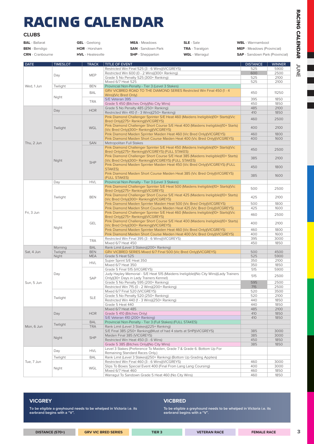## **RACING CALENDAR**

| <b>BAL</b> - Ballarat   | <b>GEL</b> - Geelong     | <b>MEA</b> - Meadows      | <b>SLE</b> - Sale      | <b>WBL</b> - Warrnambool              |
|-------------------------|--------------------------|---------------------------|------------------------|---------------------------------------|
| <b>BEN</b> - Bendigo    | <b>HOR</b> - Horsham     | <b>SAN</b> - Sandown Park | <b>TRA</b> - Traralgon | <b>MEP</b> - Meadows (Provincial)     |
| <b>CRN</b> - Cranbourne | <b>HVL</b> - Healesville | <b>SHP</b> - Shepparton   | <b>WGL</b> - Warragul  | <b>SAP</b> - Sandown Park (Provincial |

| <b>DATE</b>              | <b>TIMESLOT</b> | <b>TRACK</b>             | <b>TITLE OF EVENT</b>                                                                | <b>DISTANCE</b> | <b>WINNER</b> |
|--------------------------|-----------------|--------------------------|--------------------------------------------------------------------------------------|-----------------|---------------|
|                          |                 |                          | Restricted Win Final 525 (3 - 6 Wins)(VICGREYS)                                      | 525             | 5900          |
|                          |                 |                          | Restricted Win 600 (0 - 2 Wins)(300+ Ranking)                                        | 600             | 2500          |
|                          | Day             | <b>MEP</b>               | Grade 5 No Penalty 525 (300+ Ranking)                                                | 525             | 2100          |
|                          |                 |                          | Mixed 6/7 Heat 525                                                                   | 525             | 2100          |
| Wed, 1 Jun               | Twilight        | <b>BEN</b>               | Provincial Non-Penalty - Tier 3 (Level 3 Stakes)                                     |                 |               |
|                          |                 |                          | GRV VICBRED ROAD TO THE DIAMOND SERIES Restricted Win Final 450 (1 - 4               |                 |               |
|                          |                 | <b>BAL</b>               | Wins)(Vic Bred Only)                                                                 | 450             | 11250         |
|                          | Night           |                          | S/E Veteran 395                                                                      | 395             | 1850          |
|                          |                 | <b>TRA</b>               | Grade 5 450 (Bitches Only) (No City Wins)                                            | 450             | 1850          |
|                          |                 |                          | Grade 5 No Penalty 485 (250+ Ranking)                                                | 485             | 2100          |
|                          | Day             | <b>HOR</b>               |                                                                                      | 410             | 1850          |
|                          |                 |                          | Restricted Win 410 (1 - 3 Wins)(250+ Ranking)                                        |                 |               |
|                          |                 |                          | Pink Diamond Challenger Sprinter S/E Heat 460 (Maidens Ineligible)(10+ Starts)(Vic   | 460             | 2500          |
|                          |                 |                          | Bred Only)(275+ Ranking)(VICGREYS)                                                   |                 |               |
|                          | Twilight        | <b>WGL</b>               | Pink Diamond Challenger Short Course S/E Heat 400 (Maidens Ineligible)(10+ Starts)   | 400             | 2100          |
|                          |                 |                          | (Vic Bred Only)(300+ Ranking)(VICGREYS)                                              |                 |               |
|                          |                 |                          | Pink Diamond Maiden Sprinter Maiden Heat 460 (Vic Bred Only)(VICGREYS)               | 460             | 1800          |
|                          |                 |                          | Pink Diamond Maiden Short Course Maiden Heat 400 (Vic Bred Only)(VICGREYS)           | 400             | 1600          |
| Thu, 2 Jun               |                 | <b>SAN</b>               | Metropolitan Full Stakes                                                             |                 |               |
|                          |                 |                          | Pink Diamond Challenger Sprinter S/E Heat 450 (Maidens Ineligible)(10+ Starts)(Vic   | 450             | 2500          |
|                          |                 |                          | Bred Only)(275+ Ranking)(VICGREYS) (FULL STAKES)                                     |                 |               |
|                          |                 |                          | Pink Diamond Challenger Short Course S/E Heat 385 (Maidens Ineligible)(10+ Starts)   | 385             | 2100          |
|                          | Night           | <b>SHP</b>               | (Vic Bred Only)(300+ Ranking)(VICGREYS) (FULL STAKES)                                |                 |               |
|                          |                 |                          | Pink Diamond Maiden Sprinter Maiden Heat 450 (Vic Bred Only)(VICGREYS) (FULL         | 450             | 1800          |
|                          |                 |                          | STAKES)                                                                              |                 |               |
|                          |                 |                          | Pink Diamond Maiden Short Course Maiden Heat 385 (Vic Bred Only) (VICGREYS)          | 385             | 1600          |
|                          |                 |                          | (FULL STAKES)                                                                        |                 |               |
|                          | Day             | <b>HVL</b>               | Provincial Non-Penalty - Tier 3 (Level 3 Stakes)                                     |                 |               |
| Fri, 3 Jun               | Twilight        |                          | Pink Diamond Challenger Sprinter S/E Heat 500 (Maidens Ineligible)(10+ Starts)(Vic   | 500             | 2500          |
|                          |                 |                          | Bred Only)(275+ Ranking)(VICGREYS)                                                   |                 |               |
|                          |                 | <b>BEN</b>               | Pink Diamond Challenger Short Course S/E Heat 425 (Maidens Ineligible)(10+ Starts)   | 425             | 2100          |
|                          |                 |                          | (Vic Bred Only)(300+ Ranking)(VICGREYS)                                              |                 |               |
|                          |                 |                          | Pink Diamond Maiden Sprinter Maiden Heat 500 (Vic Bred Only)(VICGREYS)               | 500             | 1800          |
|                          |                 |                          | Pink Diamond Maiden Short Course Maiden Heat 425 (Vic Bred Only)(VICGREYS)           | 425             | 1600          |
|                          | Night           | <b>GEL</b><br><b>TRA</b> | Pink Diamond Challenger Sprinter S/E Heat 460 (Maidens Ineligible)(10+ Starts)(Vic   | 460             | 2500          |
|                          |                 |                          | Bred Only)(275+ Ranking)(VICGREYS)                                                   |                 |               |
|                          |                 |                          | Pink Diamond Challenger Short Course S/E Heat 400 (Maidens Ineligible)(10+ Starts)   | 400             | 2100          |
|                          |                 |                          | (Vic Bred Only)(300+ Ranking)(VICGREYS)                                              |                 |               |
|                          |                 |                          | Pink Diamond Maiden Sprinter Maiden Heat 460 (Vic Bred Only)(VICGREYS)               | 460             | 1800          |
|                          |                 |                          | Pink Diamond Maiden Short Course Maiden Heat 400 (Vic Bred Only)(VICGREYS)           | 400             | 1600          |
|                          |                 |                          | Restricted Win Final 395 (3 - 6 Wins)(VICGREYS)                                      | 395             | 3000          |
|                          |                 |                          | Mixed 6/7 Heat 450                                                                   | 450             | 1850          |
|                          | Morning         | <b>BAL</b>               | Rank Limit (Level 3 Stakes)(200+ Ranking)                                            |                 |               |
|                          | Twilight        | <b>BEN</b>               | GRV VICBRED SERIES Mixed 6/7 Final 500 (Vic Bred Only)(VICGREYS)                     | 500             | 4500          |
|                          | Night           | <b>MEA</b>               | Grade 5 Heat 525                                                                     | 525             | 5900          |
|                          |                 | <b>HVL</b>               | Super Sprint S/E Heat 350                                                            | 350             | 2100          |
|                          |                 |                          | Mixed 6/7 Heat 350                                                                   | 350             | 1850          |
|                          |                 |                          | Grade 5 Final 515 (VICGREYS)                                                         | 515             | 5900          |
|                          | Day             |                          | Judy Hayley Memorial - S/E Heat 515 (Maidens Ineligible)(No City Wins)(Lady Trainers | 515             | 2500          |
|                          |                 | <b>SAP</b>               | Only)(30+ Days in Lady Trainers Kennel)                                              |                 |               |
| Sun, 5 Jun               |                 |                          | Grade 5 No Penalty 595 (200+ Ranking)                                                | 595             | 2500          |
|                          |                 |                          | Restricted Win 715 (0 - 2 Wins)(200+ Ranking)                                        | 715             | 2500          |
|                          |                 |                          | Mixed 6/7 Final 520 (VICGREYS)                                                       | 520             | 3500          |
|                          |                 |                          | Grade 5 No Penalty 520 (250+ Ranking)                                                | 520             | 2100          |
|                          | Twilight        | <b>SLE</b>               | Restricted Win 440 (1 - 3 Wins)(250+ Ranking)                                        | 440             | 1850          |
|                          |                 |                          | Grade 5 Heat 440                                                                     | 440             | 1850          |
|                          |                 |                          | Mixed 6/7 Heat 485                                                                   | 485             | 2100          |
|                          | Day             | <b>HOR</b>               | Grade 5 410 (Bitches Only)                                                           | 410             | 1850          |
|                          |                 |                          | S/E Veteran 410 (200+ Ranking)                                                       | 410             | 1850          |
|                          |                 | <b>BAL</b>               | Provincial Non-Penalty - Tier 3 (Full Stakes) (FULL STAKES)                          |                 |               |
|                          | Twilight        | <b>TRA</b>               | Rank Limit (Level 3 Stakes)(225+ Ranking)                                            |                 |               |
|                          |                 |                          | S/E Final 385 (250+ Ranking)(Must of had 4 starts at SHP)(VICGREYS)                  | 385             | 3000          |
|                          |                 |                          | Maiden Final 385 (VICGREYS)                                                          | 385             | 3000          |
|                          | Night           | <b>SHP</b>               | Restricted Win Heat 450 (3 - 6 Wins)                                                 | 450             | 1850          |
|                          |                 |                          | Grade 5 385 (Bitches Only) (No City Wins)                                            | 385             | 1850          |
|                          |                 |                          | Level 3 Stakes (Preference To Maiden, Grade 7 & Grade 6. Bottom Up For               |                 |               |
|                          | Day             | <b>HVL</b>               | Remaining Standard Races Only.)                                                      |                 |               |
|                          | Twilight        | <b>BAL</b>               | Rank Limit (Level 3 Stakes)(250+ Ranking) (Bottom Up Grading Applies)                |                 |               |
| Tue, 7 Jun               |                 |                          | Restricted Win Final 460 (3 - 6 Wins)(VICGREYS)                                      | 460             | 3000          |
|                          |                 |                          | Slips To Boxes Special Event 400 (Final From Lang Lang Coursing)                     | 400             | 3000          |
| Sat, 4 Jun<br>Mon, 6 Jun | Night           | WGL                      | Mixed 6/7 Heat 460                                                                   | 460             | 1850          |
|                          |                 |                          | Warragul To Sandown Grade 5 Heat 460 (No City Wins)                                  | 460             | 1850          |

#### **VICBRED**

**To be eligible a greyhound needs to be whelped in Victoria i.e. its earbrand begins with a "V".**

**To be eligible a greyhound needs to be whelped in Victoria i.e. its earbrand begins with a "V".**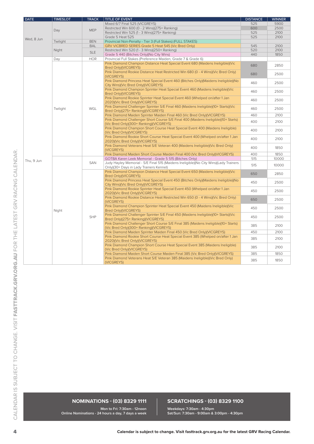| <b>DATE</b> | <b>TIMESLOT</b> | <b>TRACK</b> | <b>TITLE OF EVENT</b>                                                                                                            | <b>DISTANCE</b> | <b>WINNER</b> |
|-------------|-----------------|--------------|----------------------------------------------------------------------------------------------------------------------------------|-----------------|---------------|
|             |                 |              | Mixed 6/7 Final 525 (VICGREYS)                                                                                                   | 525             | 5900          |
|             |                 |              | Restricted Win 600 (0 - 2 Wins)(275+ Ranking)                                                                                    | 600             | 2500          |
|             | Day             | <b>MEP</b>   | Restricted Win 525 (1 - 3 Wins)(275+ Ranking)                                                                                    | 525             | 2100          |
|             |                 |              | Grade 5 Heat 525                                                                                                                 | 525             | 2100          |
| Wed, 8 Jun  | Twilight        | <b>BEN</b>   | Provincial Non-Penalty - Tier 3 (Full Stakes) (FULL STAKES)                                                                      |                 |               |
|             |                 | <b>BAL</b>   | GRV VICBRED SERIES Grade 5 Heat 545 (Vic Bred Only)                                                                              | 545             | 2100          |
|             | Night           |              | Restricted Win 520 (1 - 3 Wins)(250+ Ranking)                                                                                    | 520             | 2100          |
|             |                 | <b>SLE</b>   | Grade 5 440 (Bitches Only) (No City Wins)                                                                                        | 440             | 1850          |
|             | Day             | <b>HOR</b>   | Provincial Full Stakes (Preference Maiden, Grade 7 & Grade 6)                                                                    |                 |               |
|             |                 |              | Pink Diamond Champion Distance Heat Special Event 680 (Maidens Ineligible)(Vic<br>Bred Only)(VICGREYS)                           | 680             | 2850          |
|             |                 |              | Pink Diamond Rookie Distance Heat Restricted Win 680 (0 - 4 Wins)(Vic Bred Only)<br>(VICGREYS)                                   | 680             | 2500          |
|             |                 |              | Pink Diamond Princess Heat Special Event 460 (Bitches Only) (Maidens Ineligible) (No<br>City Wins)(Vic Bred Only)(VICGREYS)      | 460             | 2500          |
|             |                 |              | Pink Diamond Champion Sprinter Heat Special Event 460 (Maidens Ineligible)(Vic<br>Bred Only)(VICGREYS)                           | 460             | 2500          |
|             |                 |              | Pink Diamond Rookie Sprinter Heat Special Event 460 (Whelped on/after 1 Jan<br>2020)(Vic Bred Only)(VICGREYS)                    | 460             | 2500          |
|             | Twilight        | WGL          | Pink Diamond Challenger Sprinter S/E Final 460 (Maidens Ineligible)(10+ Starts)(Vic<br>Bred Only)(275+ Ranking)(VICGREYS)        | 460             | 2500          |
|             |                 |              | Pink Diamond Maiden Sprinter Maiden Final 460 (Vic Bred Only)(VICGREYS)                                                          | 460             | 2100          |
|             |                 |              | Pink Diamond Challenger Short Course S/E Final 400 (Maidens Ineligible)(10+ Starts)<br>(Vic Bred Only)(300+ Ranking)(VICGREYS)   | 400             | 2100          |
|             |                 |              | Pink Diamond Champion Short Course Heat Special Event 400 (Maidens Ineligible)<br>(Vic Bred Only)(VICGREYS)                      | 400             | 2100          |
|             |                 |              | Pink Diamond Rookie Short Course Heat Special Event 400 (Whelped on/after 1 Jan<br>2020)(Vic Bred Only)(VICGREYS)                | 400             | 2100          |
|             |                 |              | Pink Diamond Veterans Heat S/E Veteran 400 (Maidens Ineligible) (Vic Bred Only)<br>(VICGREYS)                                    | 400             | 1850          |
|             |                 |              | Pink Diamond Maiden Short Course Maiden Final 400 (Vic Bred Only)(VICGREYS)                                                      | 400             | 1850          |
| Thu, 9 Jun  |                 | <b>SAN</b>   | GOTBA Karen Leek Memorial - Grade 5 515 (Bitches Only)                                                                           | 515             | 10000         |
|             |                 |              | Judy Hayley Memorial - S/E Final 515 (Maidens Ineligible)(No City Wins)(Lady Trainers<br>Only)(30+ Days in Lady Trainers Kennel) | 515             | 10000         |
|             |                 |              | Pink Diamond Champion Distance Heat Special Event 650 (Maidens Ineligible)(Vic<br>Bred Only)(VICGREYS)                           | 650             | 2850          |
|             |                 |              | Pink Diamond Princess Heat Special Event 450 (Bitches Only) (Maidens Ineligible) (No<br>City Wins)(Vic Bred Only)(VICGREYS)      | 450             | 2500          |
|             |                 |              | Pink Diamond Rookie Sprinter Heat Special Event 450 (Whelped on/after 1 Jan<br>2020)(Vic Bred Only)(VICGREYS)                    | 450             | 2500          |
|             |                 |              | Pink Diamond Rookie Distance Heat Restricted Win 650 (0 - 4 Wins)(Vic Bred Only)<br>(VICGREYS)                                   | 650             | 2500          |
|             | Night           |              | Pink Diamond Champion Sprinter Heat Special Event 450 (Maidens Ineligible)(Vic<br>Bred Only)(VICGREYS)                           | 450             | 2500          |
|             |                 | <b>SHP</b>   | Pink Diamond Challenger Sprinter S/E Final 450 (Maidens Ineligible)(10+ Starts)(Vic<br>Bred Only)(275+ Ranking)(VICGREYS)        | 450             | 2500          |
|             |                 |              | Pink Diamond Challenger Short Course S/E Final 385 (Maidens Ineligible)(10+ Starts)<br>(Vic Bred Only)(300+ Ranking)(VICGREYS)   | 385             | 2100          |
|             |                 |              | Pink Diamond Maiden Sprinter Maiden Final 450 (Vic Bred Only)(VICGREYS)                                                          | 450             | 2100          |
|             |                 |              | Pink Diamond Rookie Short Course Heat Special Event 385 (Whelped on/after 1 Jan<br>2020)(Vic Bred Only)(VICGREYS)                | 385             | 2100          |
|             |                 |              | Pink Diamond Champion Short Course Heat Special Event 385 (Maidens Ineligible)<br>(Vic Bred Only)(VICGREYS)                      | 385             | 2100          |
|             |                 |              | Pink Diamond Maiden Short Course Maiden Final 385 (Vic Bred Only)(VICGREYS)                                                      | 385             | 1850          |
|             |                 |              | Pink Diamond Veterans Heat S/E Veteran 385 (Maidens Ineligible)(Vic Bred Only)<br>(VICGREYS)                                     | 385             | 1850          |

#### **NOMINATIONS - (03) 8329 1111**

#### **Mon to Fri: 7:30am - 12noon Online Nominations - 24 hours a day, 7 days a week**

#### **SCRATCHINGS - (03) 8329 1100**

**Weekdays: 7:30am - 4:30pm Sat/Sun: 7:30am - 9:00am & 3:00pm - 4:30pm**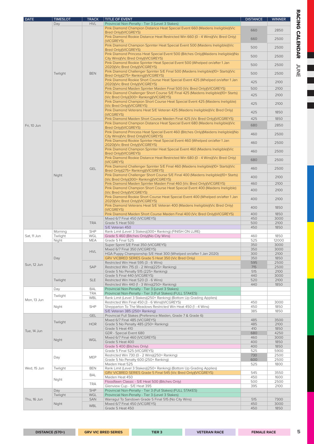| DATE        | <b>TIMESLOT</b> | <b>TRACK</b> | TITLE OF EVENT                                                                                                                 | <b>DISTANCE</b> | <b>WINNER</b> |
|-------------|-----------------|--------------|--------------------------------------------------------------------------------------------------------------------------------|-----------------|---------------|
|             | Day             | <b>HVL</b>   | Provincial Non-Penalty - Tier 3 (Level 3 Stakes)                                                                               |                 |               |
|             |                 |              | Pink Diamond Champion Distance Heat Special Event 660 (Maidens Ineligible)(Vic<br>Bred Only)(VICGREYS)                         | 660             | 2850          |
|             |                 |              | Pink Diamond Rookie Distance Heat Restricted Win 660 (0 - 4 Wins)(Vic Bred Only)<br>(VICGREYS)                                 | 660             | 2500          |
|             |                 |              | Pink Diamond Champion Sprinter Heat Special Event 500 (Maidens Ineligible)(Vic<br>Bred Only)(VICGREYS)                         | 500             | 2500          |
|             |                 |              | Pink Diamond Princess Heat Special Event 500 (Bitches Only) (Maidens Ineligible) (No<br>City Wins)(Vic Bred Only)(VICGREYS)    | 500             | 2500          |
|             |                 |              | Pink Diamond Rookie Sprinter Heat Special Event 500 (Whelped on/after 1 Jan<br>2020)(Vic Bred Only)(VICGREYS)                  | 500             | 2500          |
|             | Twilight        | <b>BEN</b>   | Pink Diamond Challenger Sprinter S/E Final 500 (Maidens Ineligible)(10+ Starts)(Vic<br>Bred Only)(275+ Ranking)(VICGREYS)      | 500             | 2500          |
|             |                 |              | Pink Diamond Rookie Short Course Heat Special Event 425 (Whelped on/after 1 Jan<br>2020)(Vic Bred Only)(VICGREYS)              | 425             | 2100          |
|             |                 |              | Pink Diamond Maiden Sprinter Maiden Final 500 (Vic Bred Only)(VICGREYS)                                                        | 500             | 2100          |
|             |                 |              | Pink Diamond Challenger Short Course S/E Final 425 (Maidens Ineligible)(10+ Starts)<br>(Vic Bred Only)(300+ Ranking)(VICGREYS) | 425             | 2100          |
|             |                 |              | Pink Diamond Champion Short Course Heat Special Event 425 (Maidens Ineligible)<br>(Vic Bred Only)(VICGREYS)                    | 425             | 2100          |
|             |                 |              | Pink Diamond Veterans Heat S/E Veteran 425 (Maidens Ineligible)(Vic Bred Only)<br>(VICGREYS)                                   | 425             | 1850          |
|             |                 |              | Pink Diamond Maiden Short Course Maiden Final 425 (Vic Bred Only)(VICGREYS)                                                    | 425             | 1850          |
| Fri, 10 Jun |                 |              | Pink Diamond Champion Distance Heat Special Event 680 (Maidens Ineligible)(Vic<br>Bred Only)(VICGREYS)                         | 680             | 2850          |
|             |                 |              | Pink Diamond Princess Heat Special Event 460 (Bitches Only)(Maidens Ineligible)(No<br>City Wins)(Vic Bred Only)(VICGREYS)      | 460             | 2500          |
|             |                 |              | Pink Diamond Rookie Sprinter Heat Special Event 460 (Whelped on/after 1 Jan<br>2020)(Vic Bred Only)(VICGREYS)                  | 460             | 2500          |
|             |                 |              | Pink Diamond Champion Sprinter Heat Special Event 460 (Maidens Ineligible)(Vic<br>Bred Only)(VICGREYS)                         | 460             | 2500          |
|             |                 |              | Pink Diamond Rookie Distance Heat Restricted Win 680 (0 - 4 Wins)(Vic Bred Only)<br>(VICGREYS)                                 | 680             | 2500          |
|             |                 | <b>GEL</b>   | Pink Diamond Challenger Sprinter S/E Final 460 (Maidens Ineligible)(10+ Starts)(Vic<br>Bred Only)(275+ Ranking)(VICGREYS)      | 460             | 2500          |
|             | Night           |              | Pink Diamond Challenger Short Course S/E Final 400 (Maidens Ineligible)(10+ Starts)<br>(Vic Bred Only)(300+ Ranking)(VICGREYS) | 400             | 2100          |
|             |                 |              | Pink Diamond Maiden Sprinter Maiden Final 460 (Vic Bred Only)(VICGREYS)                                                        | 460             | 2100          |
|             |                 |              | Pink Diamond Champion Short Course Heat Special Event 400 (Maidens Ineligible)<br>(Vic Bred Only)(VICGREYS)                    | 400             | 2100          |
|             |                 |              | Pink Diamond Rookie Short Course Heat Special Event 400 (Whelped on/after 1 Jan<br>2020)(Vic Bred Only)(VICGREYS)              | 400             | 2100          |
|             |                 |              | Pink Diamond Veterans Heat S/E Veteran 400 (Maidens Ineligible) (Vic Bred Only)<br>(VICGREYS)                                  | 400             | 1850          |
|             |                 |              | Pink Diamond Maiden Short Course Maiden Final 400 (Vic Bred Only)(VICGREYS)                                                    | 400             | 1850          |
|             |                 | <b>TRA</b>   | Mixed 6/7 Final 450 (VICGREYS)<br>Grade 5 Heat 500                                                                             | 450<br>500      | 3000<br>2100  |
|             |                 |              | S/E Veteran 450                                                                                                                | 450             | 1850          |
|             | Morning         | <b>SHP</b>   | Rank Limit (Level 3 Stakes)(300+ Ranking) (FINISH ON LURE)                                                                     |                 |               |
| Sat, 11 Jun | Twilight        | WGL          | Grade 5 460 (Bitches Only) (No City Wins)                                                                                      | 460             | 1850          |
|             | Night           | <b>MEA</b>   | Grade 5 Final 525<br>Super Sprint S/E Final 350 (VICGREYS)                                                                     | 525<br>350      | 12000<br>3000 |
|             |                 |              | Mixed 6/7 Final 350 (VICGREYS)                                                                                                 | 350             | 3000          |
|             |                 | ${\sf HVL}$  | HGA Puppy Championship S/E Heat 300 (Whelped on/after 1 Jan 2020)                                                              | 300             | 2100          |
|             | Day             |              | GRV VICBRED SERIES Grade 5 Heat 350 (Vic Bred Only)                                                                            | 350             | 1850          |
| Sun, 12 Jun |                 | <b>SAP</b>   | Restricted Win Heat 595 (3 - 6 Wins)<br>Restricted Win 715 (0 - 2 Wins)(225+ Ranking)                                          | 595<br>715      | 2500<br>2500  |
|             |                 |              | Grade 5 No Penalty 515 (225+ Ranking)                                                                                          | 515             | 2100          |
|             |                 |              | Grade 5 Final 440 (VICGREYS)                                                                                                   | 440             | 3000          |
|             | Twilight        | <b>SLE</b>   | Restricted Win Heat 520 (3 - 6 Wins)                                                                                           | 520             | 2100          |
|             | Day             | <b>BAL</b>   | Restricted Win 440 (1 - 3 Wins)(250+ Ranking)<br>Provincial Non-Penalty - Tier 3 (Level 3 Stakes)                              | 440             | 1850          |
|             |                 | <b>TRA</b>   | Provincial Non-Penalty - Tier 3 (Full Stakes) (FULL STAKES)                                                                    |                 |               |
|             | Twilight        | WBL          | Rank Limit (Level 3 Stakes)(250+ Ranking) (Bottom Up Grading Applies)                                                          |                 |               |
| Mon, 13 Jun |                 |              | Restricted Win Final 450 (3 - 6 Wins)(VICGREYS)                                                                                | 450             | 3000          |
|             | Night           | <b>SHP</b>   | Shepparton To The Meadows Restricted Win Heat 450 (1 - 4 Wins)<br>S/E Veteran 385 (250+ Ranking)                               | 450<br>385      | 1850<br>1850  |
|             |                 | <b>GEL</b>   | Provincial Full Stakes (Preference Maiden, Grade 7 & Grade 6)                                                                  |                 |               |
|             | Twilight        | <b>HOR</b>   | Mixed 6/7 Final 485 (VICGREYS)<br>Grade 5 No Penalty 485 (250+ Ranking)                                                        | 485<br>485      | 3500<br>2100  |
|             |                 |              | Grade 5 Heat 410                                                                                                               | 410             | 1850          |
| Tue, 14 Jun |                 |              | GDR - Special Event 680                                                                                                        | 680             | 4250          |
|             | Night           | WGL          | Mixed 6/7 Final 460 (VICGREYS)                                                                                                 | 460             | 3000          |
|             |                 |              | Grade 5 Heat 400                                                                                                               | 400             | 1850          |
|             |                 |              | Grade 5 400 (Bitches Only)<br>Grade 5 Final 525 (VICGREYS)                                                                     | 400<br>525      | 1850<br>5900  |
|             |                 |              | Restricted Win 730 (0 - 2 Wins)(250+ Ranking)                                                                                  | 730             | 2500          |
|             | Day             | <b>MEP</b>   | Grade 5 No Penalty 600 (250+ Ranking)                                                                                          | 600             | 2500          |
|             |                 |              | Maiden Heat 525                                                                                                                | 525             | 1800          |
| Wed, 15 Jun | Twilight        | <b>BEN</b>   | Rank Limit (Level 3 Stakes)(250+ Ranking) (Bottom Up Grading Applies)                                                          |                 |               |
|             |                 | BAL          | GRV VICBRED SERIES Grade 5 Final 545 (Vic Bred Only)(VICGREYS)<br>Maiden Heat 450                                              | 545<br>450      | 3550<br>1600  |
|             | Night           |              | Floodfawn Classic - S/E Heat 500 (Bitches Only)                                                                                | 500             | 2500          |
|             |                 | <b>TRA</b>   | Glenview Cup - S/E Heat 395                                                                                                    | 395             | 2100          |
|             | Day             | <b>SHP</b>   | Provincial Non-Penalty - Tier 3 (Full Stakes) (FULL STAKES)                                                                    |                 |               |
|             | Twilight        | WGL          | Provincial Non-Penalty - Tier 3 (Level 3 Stakes)                                                                               |                 |               |
| Thu, 16 Jun | Night           | <b>SAN</b>   | Warragul To Sandown Grade 5 Final 515 (No City Wins)<br>Mixed 6/7 Final 450 (VICGREYS)                                         | 515<br>450      | 7300<br>3000  |
|             |                 | <b>WBL</b>   | Grade 5 Heat 450                                                                                                               | 450             | 1850          |

**DISTANCE (570+) GRV VIC BRED SERIES TIER 3 VETERAN RACE FEMALE RACE**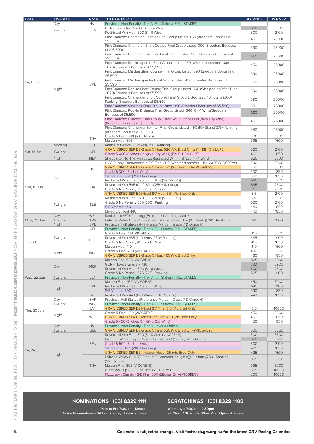| <b>DATE</b> | <b>TIMESLOT</b> | <b>TRACK</b> | TITLE OF EVENT                                                                                                     | <b>DISTANCE</b> | <b>WINNER</b> |
|-------------|-----------------|--------------|--------------------------------------------------------------------------------------------------------------------|-----------------|---------------|
|             | Day             | <b>HVL</b>   | Provincial Non-Penalty - Tier 3 (Full Stakes) (FULL STAKES)                                                        |                 |               |
|             |                 |              | GDR - Restricted Win 660 (0 - 4 Wins)                                                                              | 660             | 3900          |
|             | Twilight        | <b>BEN</b>   | Restricted Win Heat 500 (3 - 6 Wins)                                                                               | 500             | 2100          |
|             |                 |              | Pink Diamond Champion Sprinter Final Group Listed 450 (Breeders Bonuses of                                         |                 |               |
|             |                 |              | \$16,500                                                                                                           | 450             | 75000         |
|             |                 |              | Pink Diamond Champion Short Course Final Group Listed 390 (Breeders Bonuses                                        | 390             | 75000         |
|             |                 |              | of \$16,500)                                                                                                       |                 |               |
|             |                 |              | Pink Diamond Champion Distance Final Group Listed 660 (Breeders Bonuses of                                         | 660             | 75000         |
|             |                 |              | \$16,500                                                                                                           |                 |               |
| Fri. 17 Jun |                 |              | Pink Diamond Rookie Sprinter Final Group Listed 450 (Whelped on/after 1 Jan                                        | 450             | 25000         |
|             |                 |              | 2020)(Breeders Bonuses of \$5,590)<br>Pink Diamond Maiden Short Course Final Group Listed 390 (Breeders Bonuses of |                 |               |
|             |                 |              | \$5,590                                                                                                            | 390             | 25000         |
|             |                 |              | Pink Diamond Maiden Sprinter Final Group Listed 450 (Breeders Bonuses of                                           |                 |               |
|             |                 | <b>BAL</b>   | $$5,590$ )                                                                                                         | 450             | 25000         |
|             | Night           |              | Pink Diamond Rookie Short Course Final Group Listed 390 (Whelped on/after 1 Jan                                    |                 |               |
|             |                 |              | 2020)(Breeders Bonuses of \$5,590)                                                                                 | 390             | 25000         |
|             |                 |              | Pink Diamond Challenger Short Course Final Group Listed 390 (10+ Starts)(300+                                      |                 |               |
|             |                 |              | Ranking)(Breeders Bonuses of \$5,590)                                                                              | 390             | 25000         |
|             |                 |              | Pink Diamond Veterans Final Group Listed 390 (Breeders Bonuses of \$5,590)                                         | 390             | 25000         |
|             |                 |              | Pink Diamond Rookie Distance Final Group Listed 660 (0 - 4 Wins)(Breeders                                          | 660             | 25000         |
|             |                 |              | Bonuses of \$5,590)                                                                                                |                 |               |
|             |                 |              | Pink Diamond Princess Final Group Listed 450 (Bitches Only) (No City Wins)                                         | 450             | 25000         |
|             |                 |              | (Breeders Bonuses of \$5,590)                                                                                      |                 |               |
|             |                 |              | Pink Diamond Challenger Sprinter Final Group Listed 450 (10+ Starts)(275+ Ranking)                                 | 450             | 25000         |
|             |                 |              | (Breeders Bonuses of \$5,590)                                                                                      |                 |               |
|             |                 | <b>TRA</b>   | Grade 5 Final 500 (VICGREYS)                                                                                       | 500             | 3500          |
|             |                 |              | Maiden Heat 395                                                                                                    | 395             | 1600          |
|             | Morning         | <b>SHP</b>   | Rank Limit (Level 3 Stakes)(250+ Ranking)<br>GRV VICBRED SERIES Grade 5 Heat 520 (Vic Bred Only) (FINISH ON LURE)  | 520             | 2100          |
| Sat, 18 Jun | Twilight        | <b>GEL</b>   | Grade 5 460 (Bitches Only)(No City Wins) (FINISH ON LURE)                                                          | 460             | 1850          |
|             | Night           | <b>MEA</b>   | Shepparton To The Meadows Restricted Win Final 525 (1 - 4 Wins)                                                    | 525             | 7300          |
|             |                 |              | HGA Puppy Championship S/E Final 300 (Whelped on/after 1 Jan 2020)(VICGREYS)                                       | 300             | 5000          |
|             |                 |              | GRV VICBRED SERIES Grade 5 Final 350 (Vic Bred Only)(VICGREYS)                                                     | 350             | 3300          |
|             |                 | <b>HVL</b>   | Grade 5 300 (Bitches Only)                                                                                         | 300             | 1850          |
|             | Day             |              | S/E Veteran 350 (250+ Ranking)                                                                                     | 350             | 1850          |
|             |                 |              | Restricted Win Final 595 (3 - 6 Wins)(VICGREYS)                                                                    | 595             | 6800          |
|             |                 |              | Restricted Win 595 (0 - 2 Wins)(250+ Ranking)                                                                      | 595             | 2500          |
| Sun, 19 Jun |                 | <b>SAP</b>   | Grade 5 No Penalty 715 (250+ Ranking)                                                                              | 715             | 2500          |
|             |                 |              | GRV VICBRED SERIES Mixed 6/7 Heat 515 (Vic Bred Only)                                                              | 515             | 2100          |
|             | Twilight        |              | Restricted Win Final 520 (3 - 6 Wins)(VICGREYS)                                                                    | 520             | 3500          |
|             |                 | <b>SLE</b>   | Grade 5 No Penalty 520 (250+ Ranking)                                                                              | 520             | 2100          |
|             |                 |              | S/E Veteran 440                                                                                                    | 440             | 1850          |
|             |                 |              | Mixed 6/7 Heat 440                                                                                                 | 440             | 1850          |
|             | Day             | <b>WBL</b>   | Rank Limit(250+ Ranking) (Bottom Up Grading Applies)                                                               |                 |               |
| Mon, 20 Jun | Twilight        | <b>TRA</b>   | LaTrobe Valley Cup S/E Heat 395 (Maidens Ineligible)(10+ Starts)(250+ Ranking)                                     | 395             | 1000          |
|             | Night           | <b>BAL</b>   | Provincial Full Stakes (Preference Maiden, Grade 7 & Grade 6)                                                      |                 |               |
|             |                 | GEL          | Provincial Non-Penalty - Tier 3 (Full Stakes) (FULL STAKES)                                                        |                 |               |
|             |                 |              | Grade 5 Final 410 (VICGREYS)                                                                                       | 410             | 3000          |
|             | Twilight        | <b>HOR</b>   | Restricted Win 485 (1 - 3 Wins)(250+ Ranking)                                                                      | 485             | 2100          |
| Tue, 21 Jun |                 |              | Grade 5 No Penalty 410 (250+ Ranking)                                                                              | 410             | 1850          |
|             |                 |              | Maiden Heat 410                                                                                                    | 410             | 1600          |
|             | Night           | WGL          | Grade 5 Final 400 (VICGREYS)                                                                                       | 400             | 3000          |
|             |                 |              | GRV VICBRED SERIES Grade 5 Heat 460 (Vic Bred Only)                                                                | 460             | 1850          |
|             |                 |              | Maiden Final 525 (VICGREYS)<br>GDR - Novice Grade 7 730                                                            | 525             | 5900          |
|             | Day             | <b>MEP</b>   |                                                                                                                    | 730<br>600      | 3900<br>2500  |
|             |                 |              | Restricted Win Heat 600 (3 - 6 Wins)<br>Grade 5 No Penalty 525 (225+ Ranking)                                      | 525             | 2100          |
| Wed, 22 Jun | Twilight        | <b>BEN</b>   | Provincial Non-Penalty - Tier 3 (Full Stakes) (FULL STAKES)                                                        |                 |               |
|             |                 |              | Maiden Final 450 (VICGREYS)                                                                                        | 450             | 3000          |
|             |                 | <b>BAL</b>   | Restricted Win Heat 545 (3 - 6 Wins)                                                                               | 545             | 2100          |
|             | Night           |              | S/E Veteran 390                                                                                                    | 390             | 1850          |
|             |                 | <b>SLE</b>   | Restricted Win 440 (1 - 3 Wins)(250+ Ranking)                                                                      | 440             | 1850          |
|             | Day             | SHP          | Provincial Full Stakes (Preference Maiden, Grade 7 & Grade 6)                                                      |                 |               |
|             | Twilight        | WGL          | Provincial Non-Penalty - Tier 3 (Full Stakes) (FULL STAKES)                                                        |                 |               |
|             |                 | SAN          | GRV VICBRED SERIES Mixed 6/7 Final 515 (Vic Bred Only)                                                             | 515             | 10000         |
| Thu, 23 Jun |                 |              | Grade 5 Final 450 (VICGREYS)                                                                                       | 450             | 3000          |
|             | Night           | WBL          | GRV VICBRED SERIES Mixed 6/7 Heat 450 (Vic Bred Only)                                                              | 450             | 1850          |
|             |                 |              | Grade 5 450 (Bitches Only) (No City Wins)                                                                          | 450             | 1850          |
|             | Day             | <b>HVL</b>   | Provincial Non-Penalty - Tier 3 (Level 3 Stakes)                                                                   |                 |               |
|             | Twilight        | <b>GEL</b>   | GRV VICBRED SERIES Grade 5 Final 520 (Vic Bred Only)(VICGREYS)                                                     | 520             | 3550          |
|             |                 |              | Restricted Win Final 500 (3 - 6 Wins)(VICGREYS)                                                                    | 500             | 3500          |
|             |                 |              | Bendigo Winter Cup - Mixed 4/5 Heat 660 (No City Wins 601m+)                                                       | 660             | 2650          |
|             |                 | <b>BEN</b>   | Grade 5 500 (Bitches Only)                                                                                         | 500             | 2100          |
| Fri, 24 Jun |                 |              | S/E Veteran 425 (200+ Ranking)                                                                                     | 425             | 1850          |
|             | Night           |              | GRV VICBRED SERIES - Maiden Heat 425 (Vic Bred Only)                                                               | 425             | 1600          |
|             |                 |              | LaTrobe Valley Cup S/E Final 395 (Maidens Ineligible)(10+ Starts)(250+ Ranking)                                    | 395             | 5000          |
|             |                 |              | (VICGREYS)                                                                                                         |                 |               |
|             |                 | <b>TRA</b>   | Maiden Final 395 (VICGREYS)                                                                                        | 395             | 3000          |
|             |                 |              | Glenview Cup - S/E Final 395 (VICGREYS)                                                                            | 395             | 10000         |
|             |                 |              | Floodfawn Classic - S/E Final 500 (Bitches Only)(VICGREYS)                                                         | 500             | 10000         |

CALENDAR IS SUBJECT TO CHANGE. VISIT FASTTRACK.GRV.ORG.AU FOR THE LATEST GRV RACING CALENDAR.

#### **NOMINATIONS - (03) 8329 1111**

#### **SCRATCHINGS - (03) 8329 1100**

**Mon to Fri: 7:30am - 12noon Online Nominations - 24 hours a day, 7 days a week**

**Weekdays: 7:30am - 4:30pm Sat/Sun: 7:30am - 9:00am & 3:00pm - 4:30pm**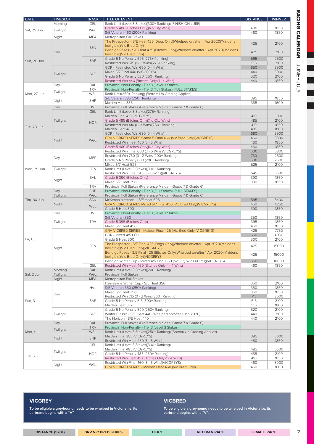| <b>DATE</b> | <b>TIMESLOT</b> | <b>TRACK</b> | <b>TITLE OF EVENT</b>                                                                                        | <b>DISTANCE</b> | <b>WINNER</b> |
|-------------|-----------------|--------------|--------------------------------------------------------------------------------------------------------------|-----------------|---------------|
|             | Morning         | <b>GEL</b>   | Rank Limit (Level 3 Stakes)(300+ Ranking) (FINISH ON LURE)                                                   |                 |               |
| Sat, 25 Jun | Twilight        | WGL          | Grade 5 400 (Bitches Only)(No City Wins)                                                                     | 400             | 1850          |
|             |                 |              | S/E Veteran 460 (200+ Ranking)                                                                               | 460             | 1850          |
|             | Night           | MEA          | Metropolitan Full Stakes                                                                                     |                 |               |
|             |                 |              | The Prospector - S/E Heat 425 (Dogs Only)(Whelped on/after 1 Apr 2020)(Maidens<br>Ineligible)(Vic Bred Only) | 425             | 2100          |
|             |                 | <b>BEN</b>   | Bendigo Roses - S/E Heat 425 (Bitches Only)(Whelped on/after 1 Apr 2020)(Maidens                             |                 |               |
|             | Day             |              | Ineligible)(Vic Bred Only)                                                                                   | 425             | 2100          |
|             |                 |              | Grade 5 No Penalty 595 (275+ Ranking)                                                                        | 595             | 2500          |
| Sun, 26 Jun |                 | SAP          | Restricted Win 515 (1 - 3 Wins)(275+ Ranking)                                                                | 515             | 2100          |
|             |                 |              | GDR - Restricted Win 650 (0 - 4 Wins)                                                                        | 650             | 3900          |
|             |                 |              | Mixed 6/7 Final 440 (VICGREYS)                                                                               | 440             | 3000          |
|             | Twilight        | <b>SLE</b>   | Grade 5 No Penalty 520 (250+ Ranking)                                                                        | 520             | 2100          |
|             |                 |              | Restricted Win 440 (Bitches Only)(1 - 4 Wins)                                                                | 440             | 1850          |
|             | Day             | <b>BAL</b>   | Provincial Non-Penalty - Tier 3 (Level 3 Stakes)                                                             |                 |               |
|             |                 | <b>TRA</b>   | Provincial Non-Penalty - Tier 3 (Full Stakes) (FULL STAKES)                                                  |                 |               |
| Mon, 27 Jun | Twilight        | WBL          | Rank Limit(250+ Ranking) (Bottom Up Grading Applies)                                                         |                 |               |
|             |                 |              | S/E Veteran 385 (250+ Ranking)                                                                               | 385             | 1850          |
|             | Night           | <b>SHP</b>   | Maiden Heat 385                                                                                              | 385             | 1600          |
|             | Day             | <b>HVL</b>   | Provincial Full Stakes (Preference Maiden, Grade 7 & Grade 6)                                                |                 |               |
|             |                 | <b>GEL</b>   | Rank Limit (Level 3 Stakes)(275+ Ranking)                                                                    |                 |               |
|             |                 |              | Maiden Final 410 (VICGREYS)                                                                                  | 410             | 3000          |
|             | Twilight        |              | Grade 5 485 (Bitches Only) (No City Wins)                                                                    | 485             | 2100          |
|             |                 | <b>HOR</b>   | Restricted Win 410 (1 - 3 Wins)(250+ Ranking)                                                                | 410             | 1850          |
| Tue, 28 Jun |                 |              | Maiden Heat 485                                                                                              | 485             | 1800          |
|             |                 |              | GDR - Restricted Win 680 (0 - 4 Wins)                                                                        | 680             | 3900          |
|             |                 |              | GRV VICBRED SERIES Grade 5 Final 460 (Vic Bred Only) (VICGREYS)                                              | 460             | 3300          |
|             | Night           | <b>WGL</b>   | Restricted Win Heat 460 (3 - 6 Wins)                                                                         | 460             | 1850          |
|             |                 |              | Grade 5 460 (Bitches Only) (No City Wins)                                                                    | 460             | 1850          |
|             |                 |              | Restricted Win Final 600 (3 - 6 Wins)(VICGREYS)                                                              | 600             | 6800          |
| Wed, 29 Jun |                 |              | Restricted Win 730 (0 - 2 Wins)(200+ Ranking)                                                                | 730             | 2500          |
|             | Day             | MEP          | Grade 5 No Penalty 600 (200+ Ranking)                                                                        | 600             | 2500          |
|             |                 |              | Mixed 6/7 Heat 525                                                                                           | 525             | 2100          |
|             | Twilight        | <b>BEN</b>   | Rank Limit (Level 3 Stakes)(300+ Ranking)                                                                    |                 |               |
|             |                 |              | Restricted Win Final 545 (3 - 6 Wins)(VICGREYS)                                                              | 545             | 3500          |
|             |                 | <b>BAL</b>   | Grade 5 390 (Bitches Only)                                                                                   | 390             | 1850          |
|             | Night           |              | Mixed 6/7 Heat 390                                                                                           | 390             | 1850          |
|             |                 | <b>TRA</b>   | Provincial Full Stakes (Preference Maiden, Grade 7 & Grade 6)                                                |                 |               |
|             | Day             | <b>SHP</b>   | Provincial Non-Penalty - Tier 3 (Full Stakes) (FULL STAKES)                                                  |                 |               |
|             | Twilight        | WGL          | Provincial Full Stakes (Preference Maiden, Grade 7 & Grade 6)                                                |                 |               |
| Thu, 30 Jun |                 | <b>SAN</b>   | McKenna Memorial - S/E Heat 595                                                                              | 595             | 8400          |
|             | Night           |              | GRV VICBRED SERIES Mixed 6/7 Final 450 (Vic Bred Only)(VICGREYS)                                             | 450             | 4250          |
|             |                 | WBL          | Grade 5 Heat 390                                                                                             | 390             | 1850          |
|             | Day             | <b>HVL</b>   | Provincial Non-Penalty - Tier 3 (Level 3 Stakes)                                                             |                 |               |
|             |                 |              | S/E Veteran 350                                                                                              | 350             | 1850          |
|             | Twilight        | TRA          | Grade 5 395 (Bitches Only)                                                                                   | 395             | 1850          |
|             |                 |              | Mixed 6/7 Heat 450                                                                                           | 450             | 1850          |
|             |                 |              | GRV VICBRED SERIES - Maiden Final 425 (Vic Bred Only)(VICGREYS)                                              | 425             | 7750          |
|             |                 |              | GDR - Mixed 4/5 660                                                                                          | 660             | 4050          |
| Fri, 1 Jul  |                 |              | Grade 5 Heat 500                                                                                             | 500             | 2100          |
|             |                 |              | The Prospector - S/E Final 425 (Dogs Only)(Whelped on/after 1 Apr 2020)(Maidens                              |                 |               |
|             | Night           | <b>BEN</b>   | Ineligible)(Vic Bred Only)(VICGREYS)                                                                         | 425             | 15000         |
|             |                 |              | Bendigo Roses - S/E Final 425 (Bitches Only) (Whelped on/after 1 Apr 2020) (Maidens                          |                 |               |
|             |                 |              | Ineligible)(Vic Bred Only)(VICGREYS)                                                                         | 425             | 15000         |
|             |                 |              | Bendigo Winter Cup - Mixed 4/5 Final 660 (No City Wins 601m+)(VICGREYS)                                      | 660             | 10000         |
|             |                 | GEL          | Restricted Win Heat 460 (Bitches Only)(1 - 4 Wins)                                                           | 460             | 1850          |
|             | Morning         | <b>BAL</b>   | Rank Limit (Level 3 Stakes)(200+ Ranking)                                                                    |                 |               |
| Sat, 2 Jul  | Twilight        | <b>WGL</b>   | <b>Provincial Full Stakes</b>                                                                                |                 |               |
|             | Night           | <b>MEA</b>   | Metropolitan Full Stakes                                                                                     |                 |               |
|             |                 |              | Healesville Winter Cup - S/E Heat 350                                                                        | 350             | 2100          |
|             |                 | <b>HVL</b>   | S/E Veteran 350 (250+ Ranking)                                                                               | 350             | 1850          |
|             |                 |              | Mixed 6/7 Heat 350                                                                                           | 350             | 1850          |
|             | Day             |              | Restricted Win 715 (0 - 2 Wins)(300+ Ranking)                                                                | 715             | 2500          |
| Sun, 3 Jul  |                 | <b>SAP</b>   | Grade 5 No Penalty 515 (300+ Ranking)                                                                        | 515             | 2100          |
|             |                 |              | Maiden Heat 515                                                                                              | 515             | 1800          |
|             |                 |              | Grade 5 No Penalty 520 (250+ Ranking)                                                                        | 520             | 2100          |
|             | Twilight        | <b>SLE</b>   | Winter Classic - S/E Heat 440 (Whelped on/after 1 Jan 2020)                                                  | 440             | 2100          |
|             |                 |              | The Horizon - S/E Heat 440                                                                                   | 440             | 2100          |
|             | Day             | <b>BAL</b>   | Provincial Full Stakes (Preference Maiden, Grade 7 & Grade 6)                                                |                 |               |
|             |                 | <b>TRA</b>   | Provincial Non-Penalty - Tier 3 (Level 3 Stakes)                                                             |                 |               |
| Mon, 4 Jul  | Twilight        | <b>WBL</b>   | Rank Limit (Level 3 Stakes)(250+ Ranking) (Bottom Up Grading Applies)                                        |                 |               |
|             |                 |              | Maiden Final 385 (VICGREYS)                                                                                  | 385             | 3000          |
|             | Night           | <b>SHP</b>   | Restricted Win Heat 450 (3 - 6 Wins)                                                                         | 450             | 1850          |
|             |                 | <b>GEL</b>   | Rank Limit (Level 3 Stakes)(300+ Ranking)                                                                    |                 |               |
|             |                 |              | Maiden Final 485 (VICGREYS)                                                                                  | 485             | 3500          |
|             | Twilight        | <b>HOR</b>   | Grade 5 No Penalty 485 (250+ Ranking)                                                                        | 485             | 2100          |
| Tue, 5 Jul  |                 |              | Restricted Win Heat 410 (Bitches Only)(1 - 4 Wins)                                                           | 410             | 1850          |
|             |                 |              | Restricted Win Final 460 (3 - 6 Wins)(VICGREYS)                                                              | 460             | 3000          |
|             | Night           | WGL          | GRV VICBRED SERIES - Maiden Heat 460 (Vic Bred Only)                                                         | 460             | 1600          |
|             |                 |              |                                                                                                              |                 |               |

**To be eligible a greyhound needs to be whelped in Victoria i.e. its earbrand begins with a "V".**

**VICGREY**

**DISTANCE (570+) GRV VIC BRED SERIES TIER 3 VETERAN RACE FEMALE RACE**

**VICBRED**

**To be eligible a greyhound needs to be whelped in Victoria i.e. its earbrand begins with a "V".**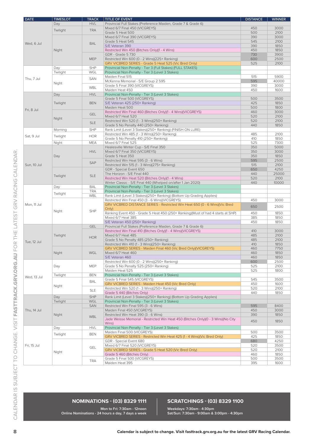|                                                                                                                    | <b>TIMESLOT</b> | <b>TRACK</b> | <b>TITLE OF EVENT</b>                                                                                           | <b>DISTANCE</b> | <b>WINNER</b> |
|--------------------------------------------------------------------------------------------------------------------|-----------------|--------------|-----------------------------------------------------------------------------------------------------------------|-----------------|---------------|
|                                                                                                                    | Day             | <b>HVL</b>   | Provincial Full Stakes (Preference Maiden, Grade 7 & Grade 6)                                                   |                 |               |
|                                                                                                                    |                 |              | Mixed 6/7 Final 450 (VICGREYS)                                                                                  | 450             | 3000          |
|                                                                                                                    | Twilight        | <b>TRA</b>   |                                                                                                                 | 500             | 2100          |
|                                                                                                                    |                 |              | Grade 5 Heat 500                                                                                                |                 |               |
|                                                                                                                    |                 |              | Mixed 6/7 Final 390 (VICGREYS)                                                                                  | 390             | 3000          |
| Wed, 6 Jul                                                                                                         |                 | <b>BAL</b>   | Grade 5 Heat 545<br>S/E Veteran 390                                                                             | 545             | 2100<br>1850  |
|                                                                                                                    |                 |              |                                                                                                                 | 390             |               |
|                                                                                                                    | Night           |              | Restricted Win 450 (Bitches Only)(1 - 4 Wins)                                                                   | 450             | 1850          |
|                                                                                                                    |                 |              | <b>GDR</b> - Grade 5 730                                                                                        | 730             | 3900          |
|                                                                                                                    |                 | <b>MEP</b>   | Restricted Win 600 (0 - 2 Wins)(225+ Ranking)                                                                   | 600<br>525      | 2500<br>2100  |
|                                                                                                                    |                 | <b>SHP</b>   | GRV VICBRED SERIES - Grade 5 Heat 525 (Vic Bred Only)                                                           |                 |               |
|                                                                                                                    | Day<br>Twilight | WGL          | Provincial Non-Penalty - Tier 3 (Full Stakes) (FULL STAKES)<br>Provincial Non-Penalty - Tier 3 (Level 3 Stakes) |                 |               |
|                                                                                                                    |                 |              | Maiden Final 515                                                                                                | 515             | 5900          |
| Thu, 7 Jul                                                                                                         |                 | <b>SAN</b>   | McKenna Memorial - S/E Group 2 595                                                                              | 595             | 40000         |
|                                                                                                                    | Night           |              | Grade 5 Final 390 (VICGREYS)                                                                                    | 390             | 3000          |
|                                                                                                                    |                 | WBL          | Maiden Heat 450                                                                                                 | 450             | 1600          |
| <b>DATE</b><br>Fri, 8 Jul<br>Sat, 9 Jul<br>Sun, 10 Jul<br>Mon, 11 Jul<br>Tue, 12 Jul<br>Wed. 13 Jul<br>Thu, 14 Jul | Day             | <b>HVL</b>   | Provincial Non-Penalty - Tier 3 (Level 3 Stakes)                                                                |                 |               |
|                                                                                                                    |                 |              | Grade 5 Final 500 (VICGREYS)                                                                                    | 500             | 3500          |
|                                                                                                                    | Twilight        | <b>BEN</b>   | S/E Veteran 425 (250+ Ranking)                                                                                  | 425             | 1850          |
|                                                                                                                    |                 |              | Maiden Heat 500                                                                                                 | 500             | 1800          |
|                                                                                                                    |                 |              | Restricted Win Final 460 (Bitches Only)(1 - 4 Wins)(VICGREYS)                                                   | 460             | 3000          |
|                                                                                                                    |                 | <b>GEL</b>   | Mixed 6/7 Heat 520                                                                                              | 520             | 2100          |
|                                                                                                                    | Night           |              | Restricted Win 520 (1 - 3 Wins)(250+ Ranking)                                                                   | 520             | 2100          |
|                                                                                                                    |                 | <b>SLE</b>   | Grade 5 No Penalty 440 (250+ Ranking)                                                                           | 440             | 1850          |
|                                                                                                                    | Morning         | <b>SHP</b>   | Rank Limit (Level 3 Stakes)(250+ Ranking) (FINISH ON LURE)                                                      |                 |               |
|                                                                                                                    |                 |              | Restricted Win 485 (1 - 3 Wins)(250+ Ranking)                                                                   | 485             | 2100          |
|                                                                                                                    | Twilight        | <b>HOR</b>   | Grade 5 No Penalty 410 (250+ Ranking)                                                                           | 410             | 1850          |
|                                                                                                                    | Night           | <b>MEA</b>   | Mixed 6/7 Final 525                                                                                             | 525             | 7300          |
|                                                                                                                    |                 |              | Healesville Winter Cup - S/E Final 350                                                                          | 350             | 5000          |
|                                                                                                                    | Day             | <b>HVL</b>   | Mixed 6/7 Final 350 (VICGREYS)                                                                                  | 350             | 3000          |
|                                                                                                                    |                 |              | Grade 5 Heat 350                                                                                                | 350             | 1850          |
|                                                                                                                    |                 |              | Restricted Win Heat 595 (3 - 6 Wins)                                                                            | 595             | 2500          |
|                                                                                                                    |                 | SAP          | Restricted Win 515 (1 - 3 Wins)(275+ Ranking)                                                                   | 515             | 2100          |
|                                                                                                                    | Twilight        | <b>SLE</b>   | GDR - Special Event 650                                                                                         | 650             | 4250          |
|                                                                                                                    |                 |              | The Horizon - S/E Final 440                                                                                     | 440             | 25000         |
|                                                                                                                    |                 |              | Restricted Win Heat 520 (Bitches Only)(1 - 4 Wins)                                                              | 520             | 2100          |
|                                                                                                                    |                 |              | Winter Classic - S/E Final 440 (Whelped on/after 1 Jan 2020)                                                    | 440             | 10000         |
|                                                                                                                    | Day             | <b>BAL</b>   | Provincial Non-Penalty - Tier 3 (Level 3 Stakes)                                                                |                 |               |
|                                                                                                                    |                 | <b>TRA</b>   | Provincial Non-Penalty - Tier 3 (Level 3 Stakes)                                                                |                 |               |
|                                                                                                                    | Twilight        | WBL          | Rank Limit (Level 3 Stakes)(250+ Ranking) (Bottom Up Grading Applies)                                           |                 |               |
|                                                                                                                    | Night           | <b>SHP</b>   | Restricted Win Final 450 (3 - 6 Wins)(VICGREYS)                                                                 | 450             | 3000          |
|                                                                                                                    |                 |              | GRV VICBRED DISTANCE SERIES - Restricted Win Heat 650 (0 - 6 Wins)(Vic Bred                                     | 650             | 2500          |
|                                                                                                                    |                 |              | Only)                                                                                                           |                 |               |
|                                                                                                                    |                 |              | Ranking Event 450 - Grade 5 Heat 450 (250+ Ranking)(Must of had 4 starts at SHP)                                | 450             | 1850          |
|                                                                                                                    |                 |              | Mixed 6/7 Heat 385                                                                                              | 385             | 1850          |
|                                                                                                                    |                 |              | S/E Veteran 450 (250+ Ranking)                                                                                  | 450             | 1850          |
|                                                                                                                    |                 | <b>GEL</b>   | Provincial Full Stakes (Preference Maiden, Grade 7 & Grade 6)                                                   |                 |               |
|                                                                                                                    |                 |              | Restricted Win Final 410 (Bitches Only)(1 - 4 Wins)(VICGREYS)                                                   | 410             | 3000          |
|                                                                                                                    | Twilight        | <b>HOR</b>   | Mixed 6/7 Heat 485                                                                                              | 485             | 2100          |
|                                                                                                                    |                 |              | Grade 5 No Penalty 485 (250+ Ranking)                                                                           | 485             | 2100          |
|                                                                                                                    |                 |              | Restricted Win 410 (1 - 3 Wins)(250+ Ranking)                                                                   | 410             | 1850          |
|                                                                                                                    |                 |              | GRV VICBRED SERIES - Maiden Final 460 (Vic Bred Only)(VICGREYS)                                                 | 460             | 7750          |
|                                                                                                                    | Night           | WGL          | Mixed 6/7 Heat 460                                                                                              | 460             | 1850          |
|                                                                                                                    |                 |              | S/E Veteran 460                                                                                                 | 460             | 1850          |
|                                                                                                                    |                 |              | Restricted Win 600 (0 - 2 Wins)(250+ Ranking)                                                                   | 600             | 2500          |
|                                                                                                                    | Day             | <b>MEP</b>   | Grade 5 No Penalty 525 (250+ Ranking)                                                                           | 525             | 2100          |
|                                                                                                                    |                 |              | Maiden Heat 525                                                                                                 | 525             | 1800          |
|                                                                                                                    | Twilight        | <b>BEN</b>   | Provincial Non-Penalty - Tier 3 (Level 3 Stakes)<br>Grade 5 Final 545 (VICGREYS)                                | 545             | 3500          |
|                                                                                                                    |                 | <b>BAL</b>   | GRV VICBRED SERIES - Maiden Heat 450 (Vic Bred Only)                                                            | 450             | 1600          |
|                                                                                                                    | Night           |              | Restricted Win 520 (1 - 3 Wins)(250+ Ranking)                                                                   | 520             | 2100          |
|                                                                                                                    |                 | <b>SLE</b>   | Grade 5 440 (Bitches Only)                                                                                      | 440             | 1850          |
|                                                                                                                    | Day             | <b>SHP</b>   | Rank Limit (Level 3 Stakes)(250+ Ranking) (Bottom Up Grading Applies)                                           |                 |               |
|                                                                                                                    | Twilight        | <b>WGL</b>   | Provincial Non-Penalty - Tier 3 (Level 3 Stakes)                                                                |                 |               |
|                                                                                                                    |                 | <b>SAN</b>   | Restricted Win Final 595 (3 - 6 Wins)                                                                           | 595             | 8400          |
|                                                                                                                    |                 |              | Maiden Final 450 (VICGREYS)                                                                                     | 450             | 3000          |
|                                                                                                                    | Night           |              | Restricted Win Heat 390 (3 - 6 Wins)                                                                            | 390             | 1850          |
|                                                                                                                    |                 | <b>WBL</b>   | Jade Weisse Memorial - Restricted Win Heat 450 (Bitches Only) (0 - 3 Wins) (No City                             | 450             | 1850          |
|                                                                                                                    |                 |              | Wins)                                                                                                           |                 |               |
|                                                                                                                    | Day             | <b>HVL</b>   | Provincial Non-Penalty - Tier 3 (Level 3 Stakes)                                                                |                 |               |
|                                                                                                                    | Twilight        | <b>BEN</b>   | Maiden Final 500 (VICGREYS)                                                                                     | 500             | 3500          |
|                                                                                                                    |                 |              | GRV VICBRED SERIES - Restricted Win Heat 425 (1 - 4 Wins) (Vic Bred Only)                                       | 425             | 1850          |
|                                                                                                                    |                 |              | GDR - Special Event 680                                                                                         | 680             | 4250          |
| Fri, 15 Jul                                                                                                        |                 | <b>GEL</b>   | Mixed 6/7 Final 520 (VICGREYS)                                                                                  | 520             | 3500          |
|                                                                                                                    | Night           |              | GRV VICBRED SERIES - Grade 5 Heat 520 (Vic Bred Only)                                                           | 520             | 2100          |
|                                                                                                                    |                 |              | Grade 5 460 (Bitches Only)                                                                                      | 460             | 1850          |
|                                                                                                                    |                 | TRA          | Grade 5 Final 500 (VICGREYS)<br>Maiden Heat 395                                                                 | 500             | 3500<br>1600  |
|                                                                                                                    |                 |              |                                                                                                                 | 395             |               |

#### **NOMINATIONS - (03) 8329 1111**

**Mon to Fri: 7:30am - 12noon Online Nominations - 24 hours a day, 7 days a week**

#### **SCRATCHINGS - (03) 8329 1100**

**Weekdays: 7:30am - 4:30pm Sat/Sun: 7:30am - 9:00am & 3:00pm - 4:30pm**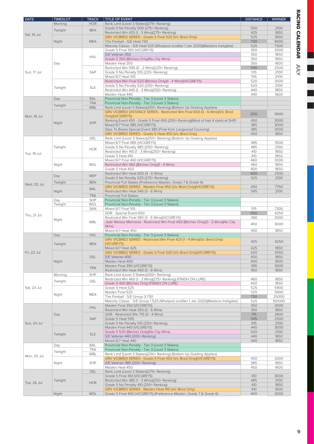| <b>DATE</b> | <b>TIMESLOT</b> | <b>TRACK</b> | <b>TITLE OF EVENT</b>                                                                | <b>DISTANCE</b> | <b>WINNER</b> |
|-------------|-----------------|--------------|--------------------------------------------------------------------------------------|-----------------|---------------|
|             | Morning         | <b>HOR</b>   | Rank Limit (Level 3 Stakes)(275+ Ranking)                                            |                 |               |
|             | Twilight        | <b>BEN</b>   | Grade 5 No Penalty 500 (275+ Ranking)                                                | 500             | 2100          |
| Sat, 16 Jul |                 |              | Restricted Win 425 (1 - 3 Wins)(275+ Ranking)                                        | 425             | 1850          |
|             |                 |              | GRV VICBRED SERIES - Grade 5 Final 525 (Vic Bred Only)                               | 525             | 9100          |
|             | Night           | <b>MEA</b>   | The Fireball - S/E Heat 730                                                          | 730             | 8400          |
|             |                 |              | Maturity Classic - S/E Heat 525 (Whelped on/after 1 Jan 2020)(Maidens Ineligible)    | 525             | 7300          |
|             |                 |              | Grade 5 Final 350 (VICGREYS)                                                         | 350             | 3000          |
|             |                 | <b>HVL</b>   | S/E Veteran 350                                                                      | 350             | 1850          |
|             |                 |              | Grade 5 350 (Bitches Only) (No City Wins)                                            | 350             | 1850          |
|             | Day             |              | Maiden Heat 350                                                                      | 350             | 1600          |
|             |                 |              | Restricted Win 595 (0 - 2 Wins)(225+ Ranking)                                        | 595             | 2500          |
| Sun, 17 Jul |                 | <b>SAP</b>   | Grade 5 No Penalty 515 (225+ Ranking)                                                | 515             | 2100          |
|             |                 |              | Mixed 6/7 Heat 515                                                                   | 515             | 2100          |
|             |                 |              | Restricted Win Final 520 (Bitches Only)(1 - 4 Wins)(VICGREYS)                        | 520             | 3500          |
|             | Twilight        | <b>SLE</b>   | Grade 5 No Penalty 520 (250+ Ranking)                                                | 520             | 2100          |
|             |                 |              | Restricted Win 440 (1 - 3 Wins)(250+ Ranking)                                        | 440             | 1850          |
|             |                 |              | Maiden Heat 440                                                                      | 440             | 1600          |
|             | Day             | <b>BAL</b>   | Provincial Non-Penalty - Tier 3 (Level 3 Stakes)                                     |                 |               |
|             | Twilight        | <b>TRA</b>   | Provincial Non-Penalty - Tier 3 (Level 3 Stakes)                                     |                 |               |
|             |                 | <b>WBL</b>   | Rank Limit (Level 3 Stakes)(250+ Ranking) (Bottom Up Grading Applies)                |                 |               |
|             |                 |              | GRV VICBRED DISTANCE SERIES - Restricted Win Final 650 (0 - 6 Wins)(Vic Bred         | 650             | 5600          |
| Mon, 18 Jul |                 |              | Only)(VICGREYS)                                                                      |                 |               |
|             | Night           | <b>SHP</b>   | Ranking Event 450 - Grade 5 Final 450 (250+ Ranking) (Must of had 4 starts at SHP)   | 450             | 3000          |
|             |                 |              | Mixed 6/7 Final 385 (VICGREYS)                                                       | 385             | 3000          |
|             |                 |              | Slips To Boxes Special Event 385 (Final from Longwood Coursing)                      | 385             | 3000          |
|             |                 |              | GRV VICBRED SERIES - Grade 5 Heat 450 (Vic Bred Only)                                | 450             | 1850          |
|             |                 | <b>GEL</b>   | Rank Limit (Level 3 Stakes)(250+ Ranking) (Bottom Up Grading Applies)                |                 |               |
|             |                 |              | Mixed 6/7 Final 485 (VICGREYS)                                                       | 485             | 3500          |
| Tue, 19 Jul | Twilight        | <b>HOR</b>   | Grade 5 No Penalty 485 (250+ Ranking)                                                | 485             | 2100          |
|             |                 |              | Restricted Win 410 (1 - 3 Wins)(250+ Ranking)                                        | 410             | 1850          |
|             |                 |              | Grade 5 Heat 410                                                                     | 410             | 1850          |
|             |                 |              | Mixed 6/7 Final 460 (VICGREYS)                                                       | 460             | 3000          |
|             | Night           | WGL          | Restricted Win 460 (Bitches Only)(1 - 4 Wins)                                        | 460             | 1850          |
|             |                 |              | Grade 5 Heat 400                                                                     | 400             | 1850          |
|             | Day             | <b>MEP</b>   | Restricted Win Heat 600 (3 - 6 Wins)                                                 | 600             | 2500          |
| Wed, 20 Jul |                 |              | Grade 5 No Penalty 525 (275+ Ranking)                                                | 525             | 2100          |
|             | Twilight        | <b>BEN</b>   | Provincial Full Stakes (Preference Maiden, Grade 7 & Grade 6)                        |                 |               |
|             |                 | <b>BAL</b>   | GRV VICBRED SERIES - Maiden Final 450 (Vic Bred Only)(VICGREYS)                      | 450             | 7750          |
|             | Night           |              | Restricted Win Heat 545 (3 - 6 Wins)                                                 | 545             | 2100          |
|             |                 | <b>TRA</b>   | Provincial Full Stakes                                                               |                 |               |
|             | Day             | <b>SHP</b>   | Provincial Non-Penalty - Tier 3 (Level 3 Stakes)                                     |                 |               |
|             | Twilight        | WGL          | Provincial Non-Penalty - Tier 3 (Level 3 Stakes)                                     |                 |               |
|             | Night           | SAN          | Mixed 6/7 Final 515                                                                  | 515             | 7300          |
| Thu, 21 Jul |                 |              | GDR - Special Event 650                                                              | 650             | 4250          |
|             |                 |              | Restricted Win Final 390 (3 - 6 Wins)(VICGREYS)                                      | 390             | 3000          |
|             |                 | <b>WBL</b>   | Jade Weisse Memorial - Restricted Win Final 450 (Bitches Only) (0 - 3 Wins) (No City | 450             | 3000          |
|             |                 |              | Wins)                                                                                |                 |               |
|             |                 | <b>HVL</b>   | Mixed 6/7 Heat 450<br>Provincial Non-Penalty - Tier 3 (Level 3 Stakes)               | 450             | 1850          |
|             | Day             |              | GRV VICBRED SERIES - Restricted Win Final 425 (1 - 4 Wins)(Vic Bred Only)            |                 |               |
|             |                 | <b>BEN</b>   | (VICGREYS)                                                                           | 425             | 4250          |
|             | Twilight        |              | Mixed 6/7 Heat 425                                                                   | 425             | 1850          |
|             |                 |              | GRV VICBRED SERIES - Grade 5 Final 520 (Vic Bred Only)(VICGREYS)                     | 520             | 3550          |
| Fri, 22 Jul |                 | <b>GEL</b>   | S/E Veteran 400                                                                      | 400             | 1850          |
|             | Night           |              | Maiden Heat 400                                                                      | 400             | 1600          |
|             |                 |              | Maiden Final 395 (VICGREYS)                                                          | 395             | 3000          |
|             |                 | <b>TRA</b>   | Restricted Win Heat 450 (3 - 6 Wins)                                                 | 450             | 1850          |
|             | Morning         | <b>SHP</b>   | Rank Limit (Level 3 Stakes)(300+ Ranking)                                            |                 |               |
|             |                 |              | Restricted Win 460 (1 - 3 Wins)(275+ Ranking) (FINISH ON LURE)                       | 460             | 1850          |
|             | Twilight        | <b>GEL</b>   | Grade 5 400 (Bitches Only) (FINISH ON LURE)                                          | 400             | 1850          |
| Sat, 23 Jul |                 |              | Grade 5 Heat 525                                                                     | 525             | 5900          |
|             |                 |              | Maiden Final 525                                                                     | 525             | 5900          |
|             | Night           | MEA          | The Fireball - S/E Group 3 730                                                       | 730             | 25000         |
|             |                 |              | Maturity Classic - S/E Group 1525 (Whelped on/after 1 Jan 2020) (Maidens Ineligible) | 525             | 100000        |
|             |                 |              | Maiden Final 350 (VICGREYS)                                                          | 350             | 3000          |
|             |                 | <b>HVL</b>   | Restricted Win Heat 350 (3 - 6 Wins)                                                 | 350             | 1850          |
|             | Day             |              | GDR - Restricted Win 715 (0 - 4 Wins)                                                | 715             | 3900          |
|             |                 | <b>SAP</b>   | Grade 5 Heat 595                                                                     | 595             | 2500          |
| Sun, 24 Jul |                 |              | Grade 5 No Penalty 515 (250+ Ranking)                                                | 515             | 2100          |
|             |                 |              | Maiden Final 440 (VICGREYS)                                                          | 440             | 3000          |
|             |                 |              | Grade 5 520 (Bitches Only) (No City Wins)                                            | 520             | 2100          |
|             | Twilight        | <b>SLE</b>   | S/E Veteran 440 (200+ Ranking)                                                       | 440             | 1850          |
|             |                 |              | Mixed 6/7 Heat 440                                                                   | 440             | 1850          |
|             | Day             | <b>BAL</b>   | Provincial Non-Penalty - Tier 3 (Level 3 Stakes)                                     |                 |               |
|             |                 | <b>TRA</b>   | Provincial Non-Penalty - Tier 3 (Level 3 Stakes)                                     |                 |               |
|             | Twilight        | WBL          | Rank Limit (Level 3 Stakes)(250+ Ranking) (Bottom Up Grading Applies)                |                 |               |
| Mon, 25 Jul |                 |              | GRV VICBRED SERIES - Grade 5 Final 450 (Vic Bred Only)(VICGREYS)                     | 450             | 3300          |
|             | Night           | <b>SHP</b>   | S/E Veteran 385 (200+ Ranking)                                                       | 385             | 1850          |
|             |                 |              | Maiden Heat 450                                                                      | 450             | 1600          |
|             |                 | <b>GEL</b>   | Rank Limit (Level 3 Stakes)(275+ Ranking)                                            |                 |               |
|             |                 |              | Grade 5 Final 410 (VICGREYS)                                                         | 410             | 3000          |
|             | Twilight        |              | Restricted Win 485 (1 - 3 Wins)(250+ Ranking)                                        | 485             | 2100          |
| Tue, 26 Jul |                 | <b>HOR</b>   | Grade 5 No Penalty 410 (250+ Ranking)                                                | 410             | 1850          |
|             |                 |              | GRV VICBRED SERIES - Maiden Heat 410 (Vic Bred Only)                                 | 410             | 1600          |
|             | Night           | WGL          | Grade 5 Final 400 (VICGREYS) (Preference Maiden, Grade 7 & Grade 6)                  | 400             | 3000          |